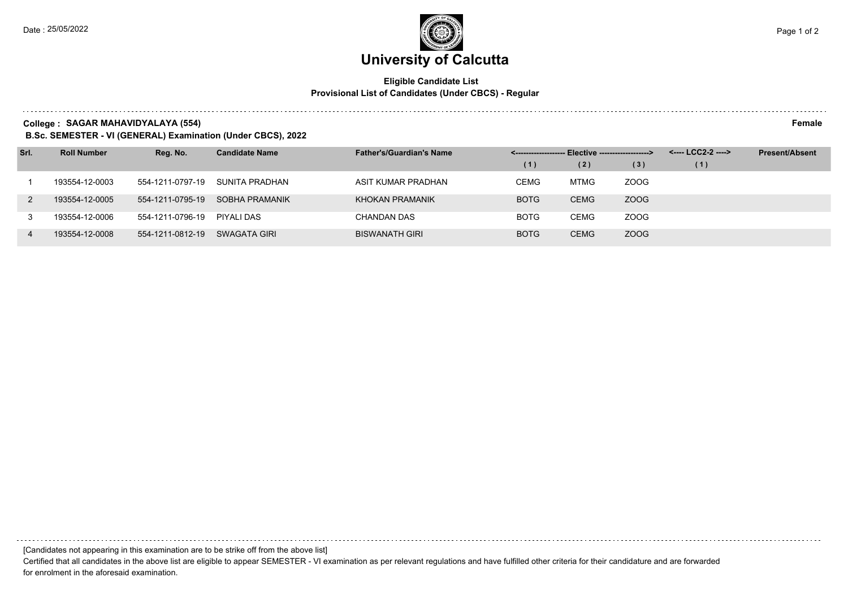## **University of Calcutta**

## **Eligible Candidate List Provisional List of Candidates (Under CBCS) - Regular**

**College : SAGAR MAHAVIDYALAYA (554) Female**

**B.Sc. SEMESTER - VI (GENERAL) Examination (Under CBCS), 2022**

| Srl. | <b>Roll Number</b> | Reg. No.         | <b>Candidate Name</b> | <b>Father's/Guardian's Name</b> | <-------------------- Elective -------------------> |             | <---- LCC2-2 ----> | <b>Present/Absent</b> |  |
|------|--------------------|------------------|-----------------------|---------------------------------|-----------------------------------------------------|-------------|--------------------|-----------------------|--|
|      |                    |                  |                       |                                 | (1)                                                 | (2)         | (3)                | (1)                   |  |
|      | 193554-12-0003     | 554-1211-0797-19 | SUNITA PRADHAN        | ASIT KUMAR PRADHAN              | <b>CEMG</b>                                         | MTMG        | ZOOG               |                       |  |
|      | 193554-12-0005     | 554-1211-0795-19 | SOBHA PRAMANIK        | KHOKAN PRAMANIK                 | <b>BOTG</b>                                         | <b>CEMG</b> | ZOOG               |                       |  |
|      | 193554-12-0006     | 554-1211-0796-19 | PIYALI DAS            | <b>CHANDAN DAS</b>              | <b>BOTG</b>                                         | <b>CEMG</b> | ZOOG               |                       |  |
|      | 193554-12-0008     | 554-1211-0812-19 | SWAGATA GIRI          | <b>BISWANATH GIRI</b>           | <b>BOTG</b>                                         | <b>CEMG</b> | ZOOG               |                       |  |

[Candidates not appearing in this examination are to be strike off from the above list]

Certified that all candidates in the above list are eligible to appear SEMESTER - VI examination as per relevant regulations and have fulfilled other criteria for their candidature and are forwarded for enrolment in the aforesaid examination.